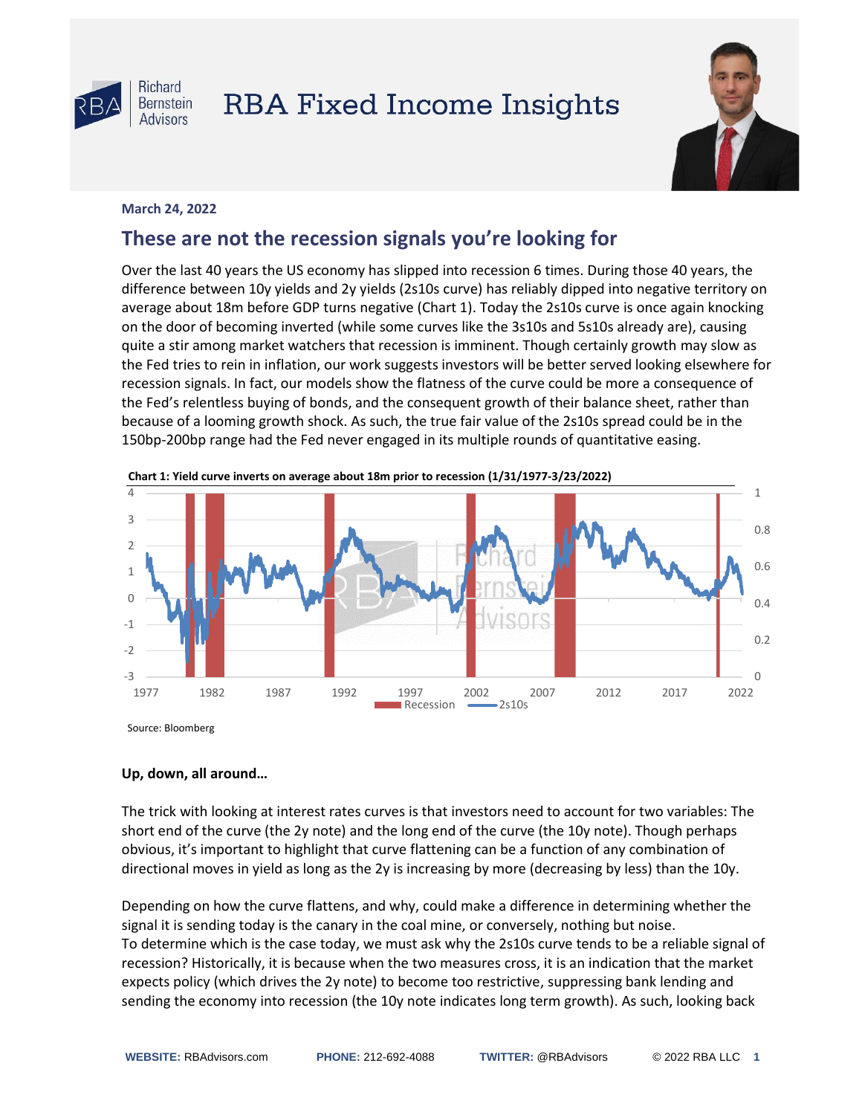

## **RBA Fixed Income Insights**



## **March 24, 2022**

## **These are not the recession signals you're looking for**

Over the last 40 years the US economy has slipped into recession 6 times. During those 40 years, the difference between 10y yields and 2y yields (2s10s curve) has reliably dipped into negative territory on average about 18m before GDP turns negative (Chart 1). Today the 2s10s curve is once again knocking on the door of becoming inverted (while some curves like the 3s10s and 5s10s already are), causing quite a stir among market watchers that recession is imminent. Though certainly growth may slow as the Fed tries to rein in inflation, our work suggests investors will be better served looking elsewhere for recession signals. In fact, our models show the flatness of the curve could be more a consequence of the Fed's relentless buying of bonds, and the consequent growth of their balance sheet, rather than because of a looming growth shock. As such, the true fair value of the 2s10s spread could be in the 150bp-200bp range had the Fed never engaged in its multiple rounds of quantitative easing.



**Chart 1: Yield curve inverts on average about 18m prior to recession (1/31/1977-3/23/2022)**

## **Up, down, all around…**

The trick with looking at interest rates curves is that investors need to account for two variables: The short end of the curve (the 2y note) and the long end of the curve (the 10y note). Though perhaps obvious, it's important to highlight that curve flattening can be a function of any combination of directional moves in yield as long as the 2y is increasing by more (decreasing by less) than the 10y.

Depending on how the curve flattens, and why, could make a difference in determining whether the signal it is sending today is the canary in the coal mine, or conversely, nothing but noise. To determine which is the case today, we must ask why the 2s10s curve tends to be a reliable signal of recession? Historically, it is because when the two measures cross, it is an indication that the market expects policy (which drives the 2y note) to become too restrictive, suppressing bank lending and sending the economy into recession (the 10y note indicates long term growth). As such, looking back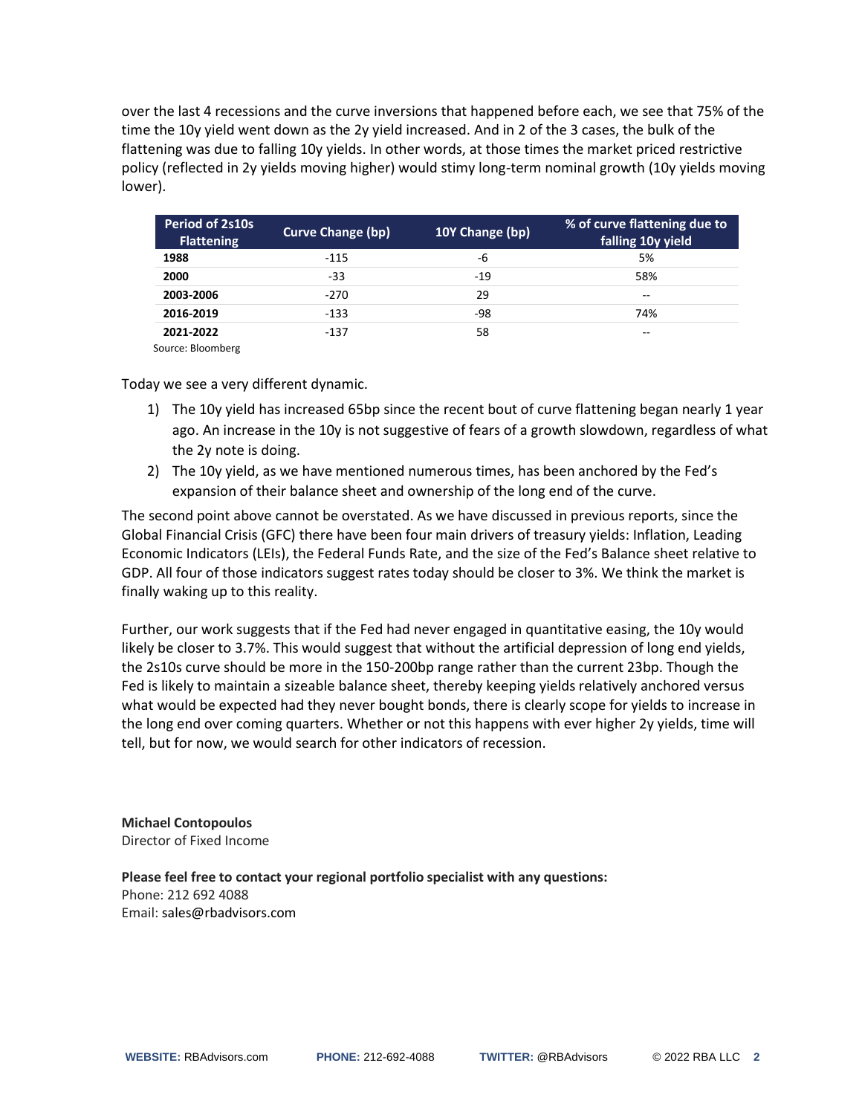over the last 4 recessions and the curve inversions that happened before each, we see that 75% of the time the 10y yield went down as the 2y yield increased. And in 2 of the 3 cases, the bulk of the flattening was due to falling 10y yields. In other words, at those times the market priced restrictive policy (reflected in 2y yields moving higher) would stimy long-term nominal growth (10y yields moving lower).

| Period of 2s10s<br><b>Flattening</b> | Curve Change (bp) | 10Y Change (bp) | % of curve flattening due to<br>falling 10y yield |
|--------------------------------------|-------------------|-----------------|---------------------------------------------------|
| 1988                                 | $-115$            | -6              | 5%                                                |
| 2000                                 | -33               | $-19$           | 58%                                               |
| 2003-2006                            | $-270$            | 29              | $- -$                                             |
| 2016-2019                            | $-133$            | -98             | 74%                                               |
| 2021-2022                            | -137              | 58              | --                                                |

Source: Bloomberg

Today we see a very different dynamic.

- 1) The 10y yield has increased 65bp since the recent bout of curve flattening began nearly 1 year ago. An increase in the 10y is not suggestive of fears of a growth slowdown, regardless of what the 2y note is doing.
- 2) The 10y yield, as we have mentioned numerous times, has been anchored by the Fed's expansion of their balance sheet and ownership of the long end of the curve.

The second point above cannot be overstated. As we have discussed in previous reports, since the Global Financial Crisis (GFC) there have been four main drivers of treasury yields: Inflation, Leading Economic Indicators (LEIs), the Federal Funds Rate, and the size of the Fed's Balance sheet relative to GDP. All four of those indicators suggest rates today should be closer to 3%. We think the market is finally waking up to this reality.

Further, our work suggests that if the Fed had never engaged in quantitative easing, the 10y would likely be closer to 3.7%. This would suggest that without the artificial depression of long end yields, the 2s10s curve should be more in the 150-200bp range rather than the current 23bp. Though the Fed is likely to maintain a sizeable balance sheet, thereby keeping yields relatively anchored versus what would be expected had they never bought bonds, there is clearly scope for yields to increase in the long end over coming quarters. Whether or not this happens with ever higher 2y yields, time will tell, but for now, we would search for other indicators of recession.

**Michael Contopoulos** Director of Fixed Income

**Please feel free to contact your regional portfolio specialist with any questions:** Phone: 212 692 4088 Email: sales@rbadvisors.com